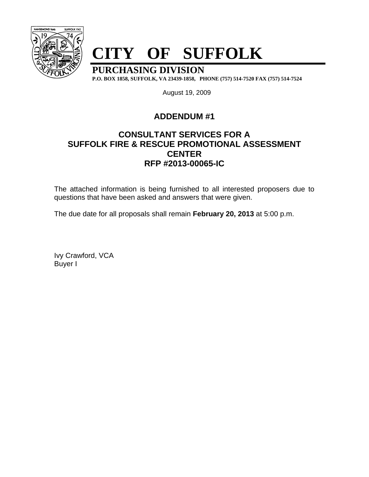

# **CITY OF SUFFOLK**

**PURCHASING DIVISION**

**P.O. BOX 1858, SUFFOLK, VA 23439-1858, PHONE (757) 514-7520 FAX (757) 514-7524**

August 19, 2009

## **ADDENDUM #1**

## **CONSULTANT SERVICES FOR A SUFFOLK FIRE & RESCUE PROMOTIONAL ASSESSMENT CENTER RFP #2013-00065-IC**

The attached information is being furnished to all interested proposers due to questions that have been asked and answers that were given.

The due date for all proposals shall remain **February 20, 2013** at 5:00 p.m.

Ivy Crawford, VCA Buyer I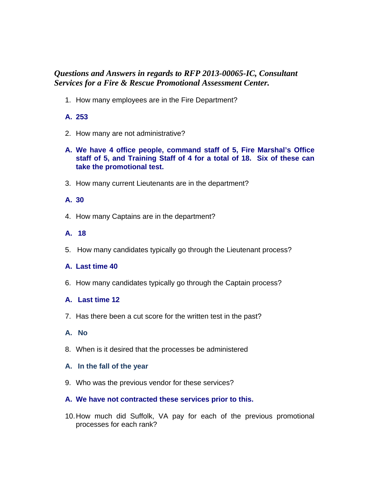### *Questions and Answers in regards to RFP 2013-00065-IC, Consultant Services for a Fire & Rescue Promotional Assessment Center.*

1. How many employees are in the Fire Department?

#### **A. 253**

- 2. How many are not administrative?
- **A. We have 4 office people, command staff of 5, Fire Marshal's Office staff of 5, and Training Staff of 4 for a total of 18. Six of these can take the promotional test.**
- 3. How many current Lieutenants are in the department?

#### **A. 30**

4. How many Captains are in the department?

#### **A. 18**

5. How many candidates typically go through the Lieutenant process?

#### **A. Last time 40**

6. How many candidates typically go through the Captain process?

#### **A. Last time 12**

7. Has there been a cut score for the written test in the past?

#### **A. No**

8. When is it desired that the processes be administered

#### **A. In the fall of the year**

9. Who was the previous vendor for these services?

#### **A. We have not contracted these services prior to this.**

10. How much did Suffolk, VA pay for each of the previous promotional processes for each rank?